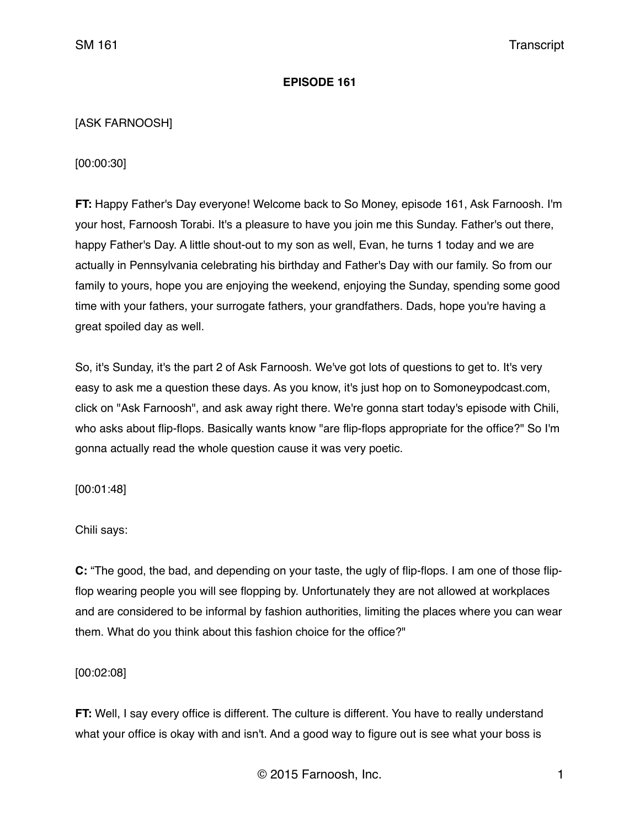### **EPISODE 161**

## [ASK FARNOOSH]

[00:00:30]

**FT:** Happy Father's Day everyone! Welcome back to So Money, episode 161, Ask Farnoosh. I'm your host, Farnoosh Torabi. It's a pleasure to have you join me this Sunday. Father's out there, happy Father's Day. A little shout-out to my son as well, Evan, he turns 1 today and we are actually in Pennsylvania celebrating his birthday and Father's Day with our family. So from our family to yours, hope you are enjoying the weekend, enjoying the Sunday, spending some good time with your fathers, your surrogate fathers, your grandfathers. Dads, hope you're having a great spoiled day as well.

So, it's Sunday, it's the part 2 of Ask Farnoosh. We've got lots of questions to get to. It's very easy to ask me a question these days. As you know, it's just hop on to Somoneypodcast.com, click on "Ask Farnoosh", and ask away right there. We're gonna start today's episode with Chili, who asks about flip-flops. Basically wants know "are flip-flops appropriate for the office?" So I'm gonna actually read the whole question cause it was very poetic.

[00:01:48]

Chili says:

**C:** "The good, the bad, and depending on your taste, the ugly of flip-flops. I am one of those flipflop wearing people you will see flopping by. Unfortunately they are not allowed at workplaces and are considered to be informal by fashion authorities, limiting the places where you can wear them. What do you think about this fashion choice for the office?"

[00:02:08]

**FT:** Well, I say every office is different. The culture is different. You have to really understand what your office is okay with and isn't. And a good way to figure out is see what your boss is

© 2015 Farnoosh, Inc. 1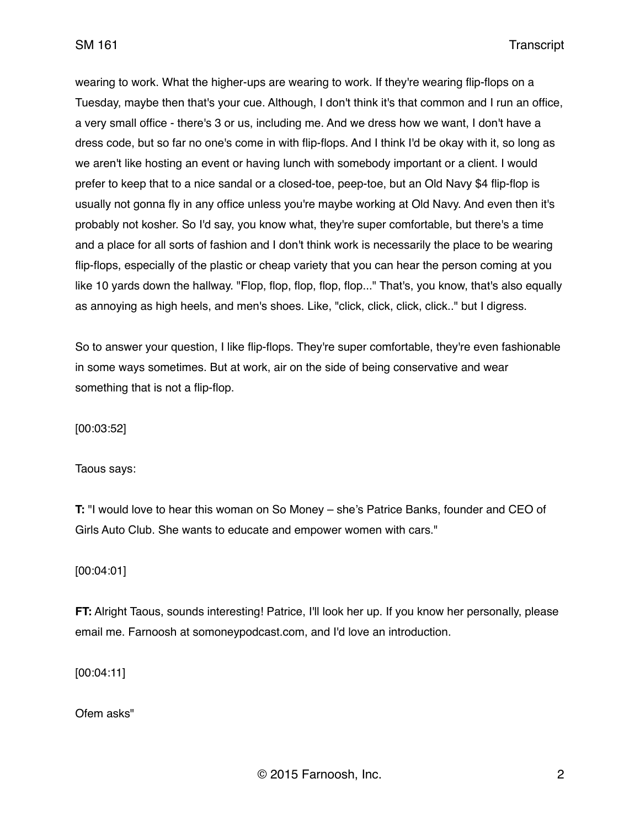wearing to work. What the higher-ups are wearing to work. If they're wearing flip-flops on a Tuesday, maybe then that's your cue. Although, I don't think it's that common and I run an office, a very small office - there's 3 or us, including me. And we dress how we want, I don't have a dress code, but so far no one's come in with flip-flops. And I think I'd be okay with it, so long as we aren't like hosting an event or having lunch with somebody important or a client. I would prefer to keep that to a nice sandal or a closed-toe, peep-toe, but an Old Navy \$4 flip-flop is usually not gonna fly in any office unless you're maybe working at Old Navy. And even then it's probably not kosher. So I'd say, you know what, they're super comfortable, but there's a time and a place for all sorts of fashion and I don't think work is necessarily the place to be wearing flip-flops, especially of the plastic or cheap variety that you can hear the person coming at you like 10 yards down the hallway. "Flop, flop, flop, flop, flop..." That's, you know, that's also equally as annoying as high heels, and men's shoes. Like, "click, click, click, click.." but I digress.

So to answer your question, I like flip-flops. They're super comfortable, they're even fashionable in some ways sometimes. But at work, air on the side of being conservative and wear something that is not a flip-flop.

[00:03:52]

Taous says:

**T:** "I would love to hear this woman on So Money – she's Patrice Banks, founder and CEO of Girls Auto Club. She wants to educate and empower women with cars."

[00:04:01]

**FT:** Alright Taous, sounds interesting! Patrice, I'll look her up. If you know her personally, please email me. Farnoosh at somoneypodcast.com, and I'd love an introduction.

[00:04:11]

Ofem asks"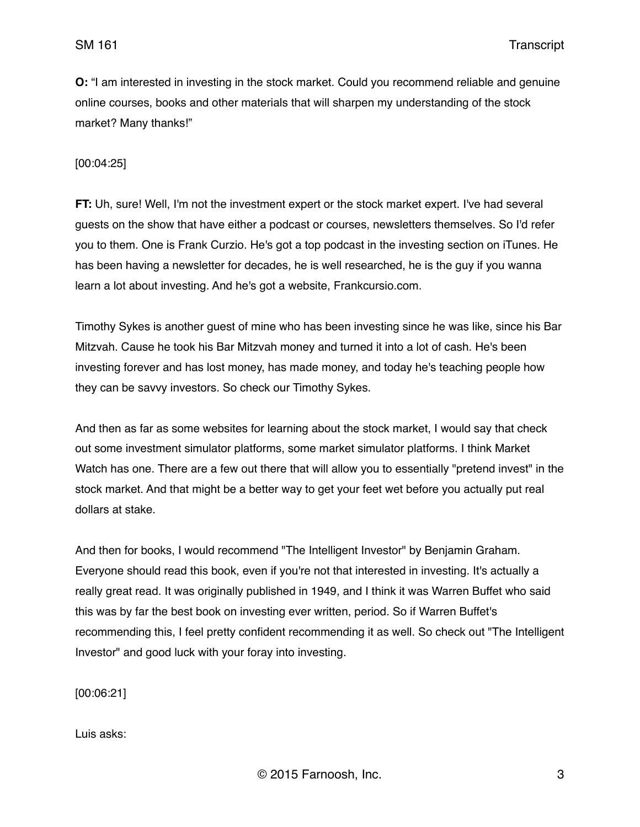**O:** "I am interested in investing in the stock market. Could you recommend reliable and genuine online courses, books and other materials that will sharpen my understanding of the stock market? Many thanks!"

### [00:04:25]

**FT:** Uh, sure! Well, I'm not the investment expert or the stock market expert. I've had several guests on the show that have either a podcast or courses, newsletters themselves. So I'd refer you to them. One is Frank Curzio. He's got a top podcast in the investing section on iTunes. He has been having a newsletter for decades, he is well researched, he is the guy if you wanna learn a lot about investing. And he's got a website, Frankcursio.com.

Timothy Sykes is another guest of mine who has been investing since he was like, since his Bar Mitzvah. Cause he took his Bar Mitzvah money and turned it into a lot of cash. He's been investing forever and has lost money, has made money, and today he's teaching people how they can be savvy investors. So check our Timothy Sykes.

And then as far as some websites for learning about the stock market, I would say that check out some investment simulator platforms, some market simulator platforms. I think Market Watch has one. There are a few out there that will allow you to essentially "pretend invest" in the stock market. And that might be a better way to get your feet wet before you actually put real dollars at stake.

And then for books, I would recommend "The Intelligent Investor" by Benjamin Graham. Everyone should read this book, even if you're not that interested in investing. It's actually a really great read. It was originally published in 1949, and I think it was Warren Buffet who said this was by far the best book on investing ever written, period. So if Warren Buffet's recommending this, I feel pretty confident recommending it as well. So check out "The Intelligent Investor" and good luck with your foray into investing.

[00:06:21]

Luis asks: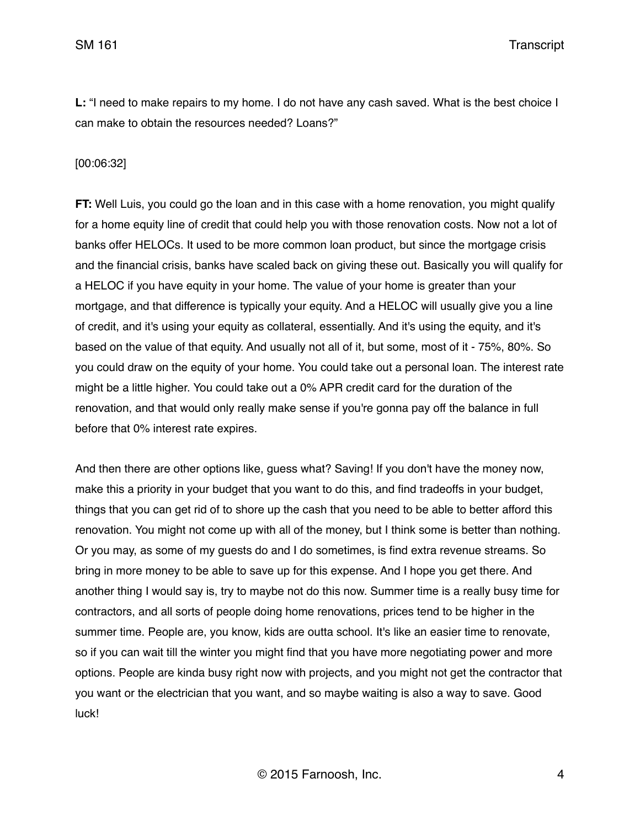SM 161 Transcript

**L:** "I need to make repairs to my home. I do not have any cash saved. What is the best choice I can make to obtain the resources needed? Loans?"

#### [00:06:32]

**FT:** Well Luis, you could go the loan and in this case with a home renovation, you might qualify for a home equity line of credit that could help you with those renovation costs. Now not a lot of banks offer HELOCs. It used to be more common loan product, but since the mortgage crisis and the financial crisis, banks have scaled back on giving these out. Basically you will qualify for a HELOC if you have equity in your home. The value of your home is greater than your mortgage, and that difference is typically your equity. And a HELOC will usually give you a line of credit, and it's using your equity as collateral, essentially. And it's using the equity, and it's based on the value of that equity. And usually not all of it, but some, most of it - 75%, 80%. So you could draw on the equity of your home. You could take out a personal loan. The interest rate might be a little higher. You could take out a 0% APR credit card for the duration of the renovation, and that would only really make sense if you're gonna pay off the balance in full before that 0% interest rate expires.

And then there are other options like, guess what? Saving! If you don't have the money now, make this a priority in your budget that you want to do this, and find tradeoffs in your budget, things that you can get rid of to shore up the cash that you need to be able to better afford this renovation. You might not come up with all of the money, but I think some is better than nothing. Or you may, as some of my guests do and I do sometimes, is find extra revenue streams. So bring in more money to be able to save up for this expense. And I hope you get there. And another thing I would say is, try to maybe not do this now. Summer time is a really busy time for contractors, and all sorts of people doing home renovations, prices tend to be higher in the summer time. People are, you know, kids are outta school. It's like an easier time to renovate, so if you can wait till the winter you might find that you have more negotiating power and more options. People are kinda busy right now with projects, and you might not get the contractor that you want or the electrician that you want, and so maybe waiting is also a way to save. Good luck!